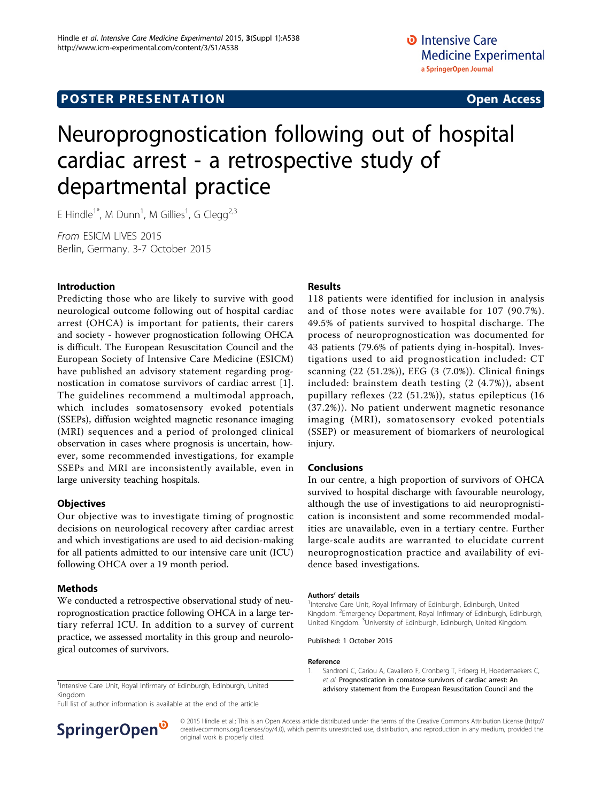# Neuroprognostication following out of hospital cardiac arrest - a retrospective study of departmental practice

E Hindle $^{\text{1*}}$ , M Dunn $^{\text{1}}$ , M Gillies $^{\text{1}}$ , G Clegg $^{\text{2,3}}$ 

From ESICM LIVES 2015 Berlin, Germany. 3-7 October 2015

#### Introduction

Predicting those who are likely to survive with good neurological outcome following out of hospital cardiac arrest (OHCA) is important for patients, their carers and society - however prognostication following OHCA is difficult. The European Resuscitation Council and the European Society of Intensive Care Medicine (ESICM) have published an advisory statement regarding prognostication in comatose survivors of cardiac arrest [1]. The guidelines recommend a multimodal approach, which includes somatosensory evoked potentials (SSEPs), diffusion weighted magnetic resonance imaging (MRI) sequences and a period of prolonged clinical observation in cases where prognosis is uncertain, however, some recommended investigations, for example SSEPs and MRI are inconsistently available, even in large university teaching hospitals.

#### **Objectives**

Our objective was to investigate timing of prognostic decisions on neurological recovery after cardiac arrest and which investigations are used to aid decision-making for all patients admitted to our intensive care unit (ICU) following OHCA over a 19 month period.

#### Methods

We conducted a retrospective observational study of neuroprognostication practice following OHCA in a large tertiary referral ICU. In addition to a survey of current practice, we assessed mortality in this group and neurological outcomes of survivors.

Kingdom

Full list of author information is available at the end of the article



#### Results

118 patients were identified for inclusion in analysis and of those notes were available for 107 (90.7%). 49.5% of patients survived to hospital discharge. The process of neuroprognostication was documented for 43 patients (79.6% of patients dying in-hospital). Investigations used to aid prognostication included: CT scanning (22 (51.2%)), EEG (3 (7.0%)). Clinical finings included: brainstem death testing (2 (4.7%)), absent pupillary reflexes (22 (51.2%)), status epilepticus (16 (37.2%)). No patient underwent magnetic resonance imaging (MRI), somatosensory evoked potentials (SSEP) or measurement of biomarkers of neurological injury.

### Conclusions

In our centre, a high proportion of survivors of OHCA survived to hospital discharge with favourable neurology, although the use of investigations to aid neuroprognistication is inconsistent and some recommended modalities are unavailable, even in a tertiary centre. Further large-scale audits are warranted to elucidate current neuroprognostication practice and availability of evidence based investigations.

#### Authors' details <sup>1</sup>

<sup>1</sup>Intensive Care Unit, Royal Infirmary of Edinburgh, Edinburgh, United Kingdom. <sup>2</sup> Emergency Department, Royal Infirmary of Edinburgh, Edinburgh, United Kingdom. <sup>3</sup>University of Edinburgh, Edinburgh, United Kingdom

Published: 1 October 2015

#### Reference

1. Sandroni C, Cariou A, Cavallero F, Cronberg T, Friberg H, Hoedemaekers C, et al: Prognostication in comatose survivors of cardiac arrest: An Intensive Care Unit, Royal Infirmary of Edinburgh, Edinburgh, United<br> **advisory statement from the European Resuscitation Council and the** 

> © 2015 Hindle et al.; This is an Open Access article distributed under the terms of the Creative Commons Attribution License [\(http://](http://creativecommons.org/licenses/by/4.0) [creativecommons.org/licenses/by/4.0](http://creativecommons.org/licenses/by/4.0)), which permits unrestricted use, distribution, and reproduction in any medium, provided the original work is properly cited.